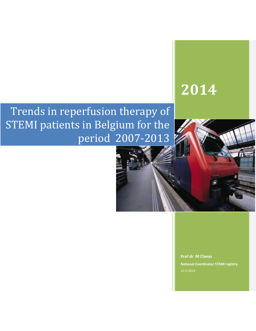# **2014**

## Trends in reperfusion therapy of STEMI patients in Belgium for the period 2007-2013

**Prof dr M Claeys National Coordinator STEMI registry** 12-5-2014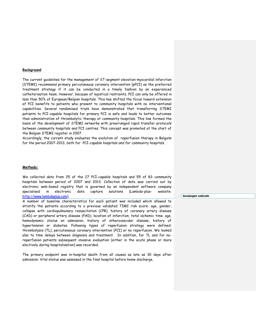#### **Background**

The current guidelines for the management of ST-segment elevation myocardial infarction (STEMI) recommend primary percutaneous coronary intervention (pPCI) as the preferred treatment strategy if it can be conducted in a timely fashion by an experienced catheterisation team. However, because of logistical restraints, PCI can only be offered in less than 50% of European/Belgian hospitals. This has shifted the focus toward extension of PCI benefits to patients who present to community hospitals with no interventional capabilities. Several randomised trials have demonstrated that transferring STEMI patients to PCI-capable hospitals for primary PCI is safe and leads to better outcomes than administration of thrombolytic therapy at community hospitals. This has formed the basis of the development of STEMI networks with prearranged rapid transfer protocols between community hospitals and PCI centres. This concept was promoted at the start of the Belgian STEMI register in 2007.

Accordingly, the current study evaluates the evolution of reperfusion therapy in Belguim for the period 2007-2013, both for PCI-capable hospitals and for community hospitals .

#### **Methods:**

We collected data from 25 of the 27 PCI-capable hospitals and 55 of 83 community hospitals between period of 2007 and 2013. Collection of data was carried out by electronic web-based registry that is governed by an independent software company specialised in electronic data capture solutions (Lambda-plus- website: [http://www.lambdaplus.com\)](http://www.lambdaplus.com/).

A number of baseline characteristics for each patient was included which allowed to stratify the patients according to a previous validated TIMI risk score: age, gender, collapse with cardiopulmonary resuscitation (CPR), history of coronary artery disease (CAD) or peripheral artery disease (PAD), location of infarction, total ischemic time. age, hemodynamic status on admission, history of atherovascular disease, history of hypertension or diabetes. Following types of reperfusion strategy were defined: thrombolysis (TL), percutaneous coronary intervention (PCI) or no reperfusion. We looked also to time delays between diagnosis and treatment. In addition, for TL and for noreperfusion patients subsequent invasive evaluation (either in the acute phase or more electively during hospitalisation) was recorded.

The primary endpoint was in-hospital death from all causes as late as 30 days after admission. Vital status was assessed in the final hospital before home discharge.

**Gewijzigde veldcode**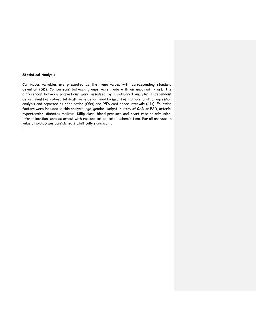#### **Statistical Analysis**

.

Continuous variables are presented as the mean values with corresponding standard deviation (SD). Comparisons between groups were made with an unpaired t-test. The differences between proportions were assessed by chi-squared analysis. Independent determinants of in-hospital death were determined by means of multiple logistic regression analysis and reported as odds ratios (ORs) and 95% confidence intervals (CIs). Following factors were included in this analysis: age, gender, weight, history of CAD or PAD, arterial hypertension, diabetes mellitus, Killip class, blood pressure and heart rate on admission, infarct location, cardiac arrest with rescuscitation, total ischemic time. For all analyses, a value of p<0.05 was considered statistically significant.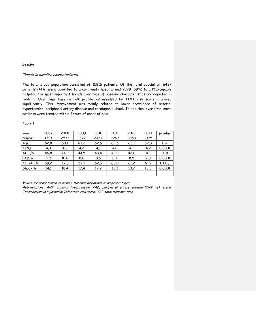### **Results**

#### Trends in baseline characteristics .

The total study population consisted of 15816 patients. Of the total population, 6437 patients (41%) were admitted to a community hospital and 9379 (59%) to a PCI-capable hospital. The most important trends over time of baseline characteristics are depicted in table 1. Over time baseline risk profile, as assessed by TIMI risk score improved significantly. This improvement was mainly related to lower prevalence of arterial hypertension, peripheral artery disease and cardiogenic shock. In addition, over time, more patients were treated within 4hours of onset of pain.

#### Table 1

| year        | 2007 | 2008 | 2009 | 2010 | 2011 | 2012 | 2013 | p-value |
|-------------|------|------|------|------|------|------|------|---------|
| number      | 1791 | 2571 | 2677 | 2477 | 2267 | 2058 | 1975 |         |
| Age         | 62.8 | 63.1 | 63.2 | 62.6 | 62.5 | 63.1 | 62.8 | 0.4     |
| <b>TIMI</b> | 4.3  | 4.3  | 4.2  | 4.1  | 4.0  | 4.1  | 4.2  | 0.0001  |
| AHT,%       | 46.8 | 44.2 | 44.5 | 43.4 | 42.9 | 42.6 | 41.  | 0.01    |
| PAD, %      | 11.5 | 10.8 | 8.6  | 8.6  | 8.7  | 8.5  | 7.3  | 0.0001  |
| TIT<4h,%    | 59.2 | 57.8 | 59.1 | 62.5 | 63.0 | 61.2 | 61.9 | 0.006   |
| Shock.%     | 14.1 | 18.4 | 17.4 | 12.9 | 13.1 | 10.7 | 13.3 | 0.0001  |
|             |      |      |      |      |      |      |      |         |

Values are represented as mean ± standard deviations or as percentages.

Abbreviations: AHT, arterial hypertension; PAD, peripheral artery disease;TIMI risk score, Thrombolysis in Myocardial Infarction risk score; TIT, total ischemic time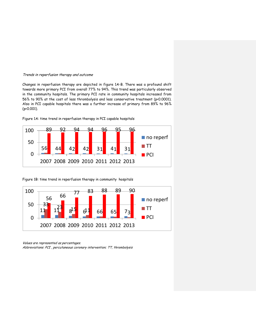#### Trends in reperfusion therapy and outcome

Changes in reperfusion therapy are depicted in figure 1A-B. There was a profound shift towards more primary PCI from overall 77% to 94%. This trend was particularly observed in the community hospitals. The primary PCI rate in community hospitals increased from 56% to 90% at the cost of less thrombolysis and less conservative treatment (p<0.0001). Also in PCI capable hospitals there was a further increase of primary from 89% to 96% (p<0.001).





Figure 1B: time trend in reperfusion therapy in community hospitals



Values are represented as percentages.

Abbreviations: PCI , percutaneous coronary intervention; TT, thrombolysis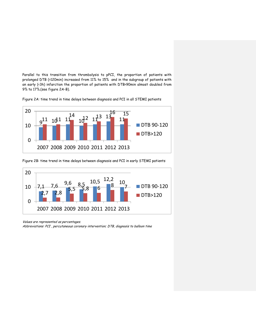Parallel to this transition from thrombolysis to pPCI, the proportion of patients with prolonged DTB (>120min) increased from 11% to 15% and in the subgroup of patients with an early (<3h) infarction the proportion of patients with DTB>90min almost doubled from 9% to 17%.(see figure 2A-B).





Figure 2B: time trend in time delays between diagnosis and PCI in early STEMI patients



Values are represented as percentages.

Abbreviations: PCI , percutaneous coronary intervention; DTB, diagnosis to balloon time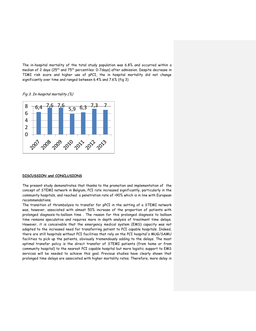The in-hospital mortality of the total study population was 6.8% and occurred within a median of 2 days (25th and 75th percentiles: 0-7days) after admission. Despite decrease in TIMI risk score and higher use of pPCI, the in hospital mortality did not change significantly over time and ranged between 6.4% and 7.6% (fig 3)





#### **DISCUSSION and CONCLUSIONS**

The present study demonstrates that thanks to the promotion and implementation of the concept of STEMI network in Belgium, PCI rate increased significantly, particularly in the community hospitals, and reached a penetration rate of >90% which is in line with European recommendations.

The transition of thrombolysis to transfer for pPCI in the setting of a STEMI network was, however, associated with almost 50% increase of the proportion of patients with prolonged diagnosis-to-balloon time . The reason for this prolonged diagnosis to balloon time remains speculative and requires more in depth analysis of treatment time delays. However, it is conceivable that the emergency medical system (EMS) capacity was not adapted to the increased need for transferring patient to PCI capable hospitals. Indeed, there are still hospitals without PCI facilities that rely on the PCI hospital's MUG/SAMU facilities to pick up the patients, obviously tremendously adding to the delays. The most optimal transfer policy is the direct transfer of STEMI patients (from home or from community hospital) to the nearest PCI capable hospital but more logistic support to EMS services will be needed to achieve this goal. Previous studies have clearly shown that prolonged time delays are associated with higher mortality rates. Therefore, more delay in